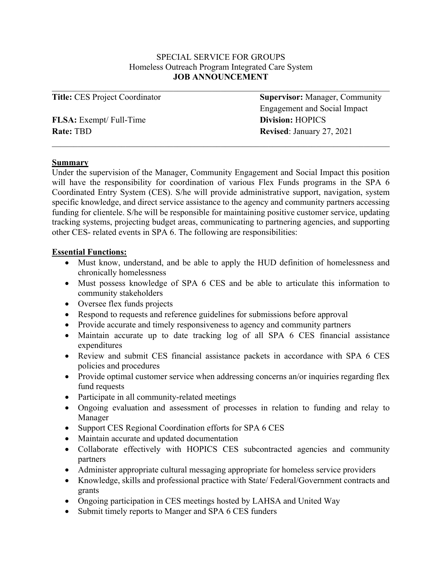### SPECIAL SERVICE FOR GROUPS Homeless Outreach Program Integrated Care System **JOB ANNOUNCEMENT**

| <b>Title: CES Project Coordinator</b> | <b>Supervisor:</b> Manager, Community |
|---------------------------------------|---------------------------------------|
|                                       | Engagement and Social Impact          |
| <b>FLSA:</b> Exempt/ Full-Time        | <b>Division: HOPICS</b>               |
| <b>Rate: TBD</b>                      | <b>Revised: January 27, 2021</b>      |
|                                       |                                       |

#### **Summary**

Under the supervision of the Manager, Community Engagement and Social Impact this position will have the responsibility for coordination of various Flex Funds programs in the SPA 6 Coordinated Entry System (CES). S/he will provide administrative support, navigation, system specific knowledge, and direct service assistance to the agency and community partners accessing funding for clientele. S/he will be responsible for maintaining positive customer service, updating tracking systems, projecting budget areas, communicating to partnering agencies, and supporting other CES- related events in SPA 6. The following are responsibilities:

### **Essential Functions:**

- Must know, understand, and be able to apply the HUD definition of homelessness and chronically homelessness
- Must possess knowledge of SPA 6 CES and be able to articulate this information to community stakeholders
- Oversee flex funds projects
- Respond to requests and reference guidelines for submissions before approval
- Provide accurate and timely responsiveness to agency and community partners
- Maintain accurate up to date tracking log of all SPA 6 CES financial assistance expenditures
- Review and submit CES financial assistance packets in accordance with SPA 6 CES policies and procedures
- Provide optimal customer service when addressing concerns an/or inquiries regarding flex fund requests
- Participate in all community-related meetings
- Ongoing evaluation and assessment of processes in relation to funding and relay to Manager
- Support CES Regional Coordination efforts for SPA 6 CES
- Maintain accurate and updated documentation
- Collaborate effectively with HOPICS CES subcontracted agencies and community partners
- Administer appropriate cultural messaging appropriate for homeless service providers
- Knowledge, skills and professional practice with State/ Federal/Government contracts and grants
- Ongoing participation in CES meetings hosted by LAHSA and United Way
- Submit timely reports to Manger and SPA 6 CES funders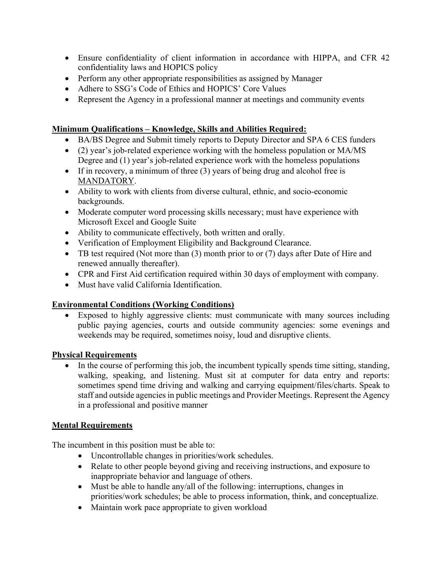- Ensure confidentiality of client information in accordance with HIPPA, and CFR 42 confidentiality laws and HOPICS policy
- Perform any other appropriate responsibilities as assigned by Manager
- Adhere to SSG's Code of Ethics and HOPICS' Core Values
- Represent the Agency in a professional manner at meetings and community events

## **Minimum Qualifications – Knowledge, Skills and Abilities Required:**

- BA/BS Degree and Submit timely reports to Deputy Director and SPA 6 CES funders
- (2) year's job-related experience working with the homeless population or MA/MS Degree and (1) year's job-related experience work with the homeless populations
- If in recovery, a minimum of three (3) years of being drug and alcohol free is MANDATORY.
- Ability to work with clients from diverse cultural, ethnic, and socio-economic backgrounds.
- Moderate computer word processing skills necessary; must have experience with Microsoft Excel and Google Suite
- Ability to communicate effectively, both written and orally.
- Verification of Employment Eligibility and Background Clearance.
- TB test required (Not more than (3) month prior to or (7) days after Date of Hire and renewed annually thereafter).
- CPR and First Aid certification required within 30 days of employment with company.
- Must have valid California Identification.

# **Environmental Conditions (Working Conditions)**

• Exposed to highly aggressive clients: must communicate with many sources including public paying agencies, courts and outside community agencies: some evenings and weekends may be required, sometimes noisy, loud and disruptive clients.

# **Physical Requirements**

• In the course of performing this job, the incumbent typically spends time sitting, standing, walking, speaking, and listening. Must sit at computer for data entry and reports: sometimes spend time driving and walking and carrying equipment/files/charts. Speak to staff and outside agencies in public meetings and Provider Meetings. Represent the Agency in a professional and positive manner

# **Mental Requirements**

The incumbent in this position must be able to:

- Uncontrollable changes in priorities/work schedules.
- Relate to other people beyond giving and receiving instructions, and exposure to inappropriate behavior and language of others.
- Must be able to handle any/all of the following: interruptions, changes in priorities/work schedules; be able to process information, think, and conceptualize.
- Maintain work pace appropriate to given workload